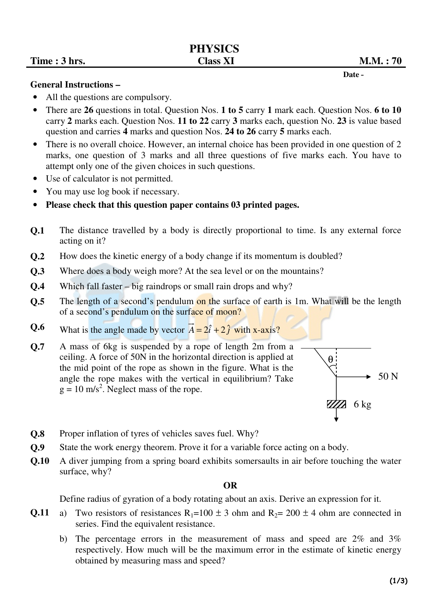Date -

### **General Instructions –**

- All the questions are compulsory.
- There are **26** questions in total. Question Nos. **1 to 5** carry **1** mark each. Question Nos. **6 to 10** carry **2** marks each. Question Nos. **11 to 22** carry **3** marks each, question No. **23** is value based question and carries **4** marks and question Nos. **24 to 26** carry **5** marks each.
- There is no overall choice. However, an internal choice has been provided in one question of 2 marks, one question of 3 marks and all three questions of five marks each. You have to attempt only one of the given choices in such questions.
- Use of calculator is not permitted.
- You may use log book if necessary.
- **Please check that this question paper contains 03 printed pages.**
- **Q.1** The distance travelled by a body is directly proportional to time. Is any external force acting on it?
- **Q.2** How does the kinetic energy of a body change if its momentum is doubled?
- **Q.3** Where does a body weigh more? At the sea level or on the mountains?
- **Q.4** Which fall faster big raindrops or small rain drops and why?
- **Q.5** The length of a second's pendulum on the surface of earth is 1m. What will be the length of a second's pendulum on the surface of moon?
- **Q.6** What is the angle made by vector  $\vec{A} = 2\hat{i} + 2\hat{j}$  with x-axis?
- **Q.7** A mass of 6kg is suspended by a rope of length 2m from a ceiling. A force of 50N in the horizontal direction is applied at the mid point of the rope as shown in the figure. What is the angle the rope makes with the vertical in equilibrium? Take  $g = 10$  m/s<sup>2</sup>. Neglect mass of the rope.



- **Q.8** Proper inflation of tyres of vehicles saves fuel. Why?
- **Q.9** State the work energy theorem. Prove it for a variable force acting on a body.
- **Q.10** A diver jumping from a spring board exhibits somersaults in air before touching the water surface, why?

## **OR**

Define radius of gyration of a body rotating about an axis. Derive an expression for it.

- **Q.11** a) Two resistors of resistances  $R_1=100 \pm 3$  ohm and  $R_2= 200 \pm 4$  ohm are connected in series. Find the equivalent resistance.
	- b) The percentage errors in the measurement of mass and speed are 2% and 3% respectively. How much will be the maximum error in the estimate of kinetic energy obtained by measuring mass and speed?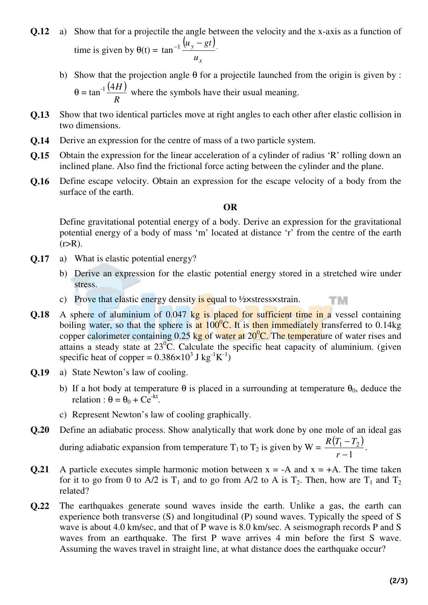- **Q.12** a) Show that for a projectile the angle between the velocity and the x-axis as a function of time is given by  $\theta(t) =$  $\left( u_{v} - gt \right)$ *x y u*  $tan^{-1} \frac{(u_y - gt)}{u_y - gt}$ .
	- b) Show that the projection angle  $\theta$  for a projectile launched from the origin is given by :  $\theta = \tan^{-1} \frac{(4H)}{B}$ *R* 4*H* where the symbols have their usual meaning.
- **Q.13** Show that two identical particles move at right angles to each other after elastic collision in two dimensions.
- **Q.14** Derive an expression for the centre of mass of a two particle system.
- **Q.15** Obtain the expression for the linear acceleration of a cylinder of radius 'R' rolling down an inclined plane. Also find the frictional force acting between the cylinder and the plane.
- **Q.16** Define escape velocity. Obtain an expression for the escape velocity of a body from the surface of the earth.

# **OR**

Define gravitational potential energy of a body. Derive an expression for the gravitational potential energy of a body of mass 'm' located at distance 'r' from the centre of the earth  $(r>R)$ .

- **Q.17** a) What is elastic potential energy?
	- b) Derive an expression for the elastic potential energy stored in a stretched wire under stress.

тм

- c) Prove that elastic energy density is equal to  $\frac{1}{2}$  x stress x strain.
- **Q.18** A sphere of aluminium of 0.047 kg is placed for sufficient time in a vessel containing boiling water, so that the sphere is at  $100^{\circ}$ C. It is then immediately transferred to 0.14kg copper calorimeter containing  $0.25$  kg of water at  $20^{\circ}$ C. The temperature of water rises and attains a steady state at  $23^{\circ}$ C. Calculate the specific heat capacity of aluminium. (given specific heat of copper =  $0.386 \times 10^3$  J kg<sup>-1</sup>K<sup>-1</sup>)
- **Q.19** a) State Newton's law of cooling.
	- b) If a hot body at temperature  $\theta$  is placed in a surrounding at temperature  $\theta_0$ , deduce the relation :  $\theta = \theta_0 + Ce^{-kt}$ .
	- c) Represent Newton's law of cooling graphically.
- **Q.20** Define an adiabatic process. Show analytically that work done by one mole of an ideal gas during adiabatic expansion from temperature T<sub>1</sub> to T<sub>2</sub> is given by W =  $\frac{R(T_1 - T_2)}{1}$ 1  $1 - 12$ − − *r*  $R(T_1 - T)$ .
- **Q.21** A particle executes simple harmonic motion between  $x = -A$  and  $x = +A$ . The time taken for it to go from 0 to A/2 is  $T_1$  and to go from A/2 to A is  $T_2$ . Then, how are  $T_1$  and  $T_2$ related?
- **Q.22** The earthquakes generate sound waves inside the earth. Unlike a gas, the earth can experience both transverse (S) and longitudinal (P) sound waves. Typically the speed of S wave is about 4.0 km/sec, and that of P wave is 8.0 km/sec. A seismograph records P and S waves from an earthquake. The first P wave arrives 4 min before the first S wave. Assuming the waves travel in straight line, at what distance does the earthquake occur?